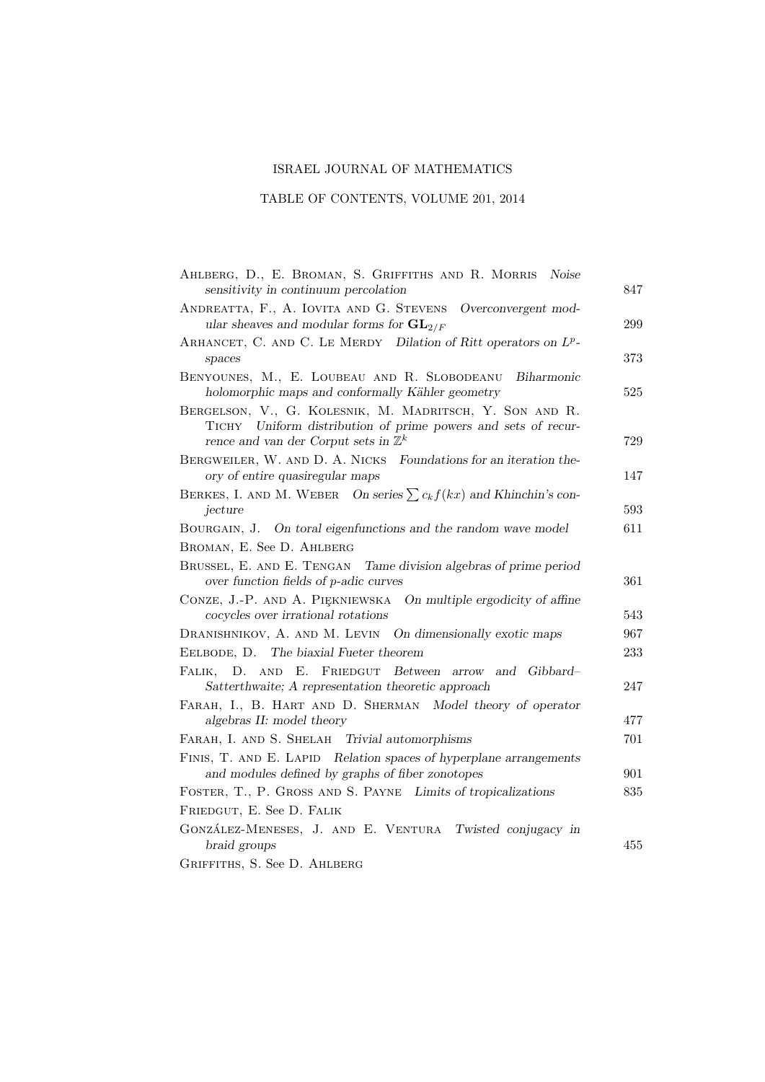## ISRAEL JOURNAL OF MATHEMATICS

## TABLE OF CONTENTS, VOLUME 201, 2014

| AHLBERG, D., E. BROMAN, S. GRIFFITHS AND R. MORRIS Noise<br>sensitivity in continuum percolation                                                                            | 847 |
|-----------------------------------------------------------------------------------------------------------------------------------------------------------------------------|-----|
| ANDREATTA, F., A. IOVITA AND G. STEVENS Overconvergent mod-<br>ular sheaves and modular forms for $GL_{2/F}$                                                                | 299 |
| ARHANCET, C. AND C. LE MERDY Dilation of Ritt operators on $L^p$ -<br>spaces                                                                                                | 373 |
| BENYOUNES, M., E. LOUBEAU AND R. SLOBODEANU<br>Biharmonic<br>holomorphic maps and conformally Kähler geometry                                                               | 525 |
| BERGELSON, V., G. KOLESNIK, M. MADRITSCH, Y. SON AND R.<br>TICHY Uniform distribution of prime powers and sets of recur-<br>rence and van der Corput sets in $\mathbb{Z}^k$ | 729 |
| BERGWEILER, W. AND D. A. NICKS Foundations for an iteration the-<br>ory of entire quasiregular maps                                                                         | 147 |
| BERKES, I. AND M. WEBER On series $\sum c_k f(kx)$ and Khinchin's con-<br>jecture                                                                                           | 593 |
| BOURGAIN, J. On toral eigenfunctions and the random wave model                                                                                                              | 611 |
| BROMAN, E. See D. AHLBERG                                                                                                                                                   |     |
| BRUSSEL, E. AND E. TENGAN Tame division algebras of prime period<br>over function fields of p-adic curves                                                                   | 361 |
| CONZE, J.-P. AND A. PIEKNIEWSKA On multiple ergodicity of affine<br>cocycles over irrational rotations                                                                      | 543 |
| DRANISHNIKOV, A. AND M. LEVIN On dimensionally exotic maps                                                                                                                  | 967 |
| EELBODE, D. The biaxial Fueter theorem                                                                                                                                      | 233 |
| FALIK, D. AND E. FRIEDGUT Between arrow and Gibbard-<br>Satterthwaite; A representation theoretic approach                                                                  | 247 |
| FARAH, I., B. HART AND D. SHERMAN Model theory of operator<br>algebras II: model theory                                                                                     | 477 |
| FARAH, I. AND S. SHELAH Trivial automorphisms                                                                                                                               | 701 |
| FINIS, T. AND E. LAPID Relation spaces of hyperplane arrangements                                                                                                           |     |
| and modules defined by graphs of fiber zonotopes                                                                                                                            | 901 |
| FOSTER, T., P. GROSS AND S. PAYNE Limits of tropicalizations                                                                                                                | 835 |
| FRIEDGUT, E. See D. FALIK                                                                                                                                                   |     |
| GONZÁLEZ-MENESES, J. AND E. VENTURA Twisted conjugacy in<br>braid groups                                                                                                    | 455 |
| GRIFFITHS, S. See D. AHLBERG                                                                                                                                                |     |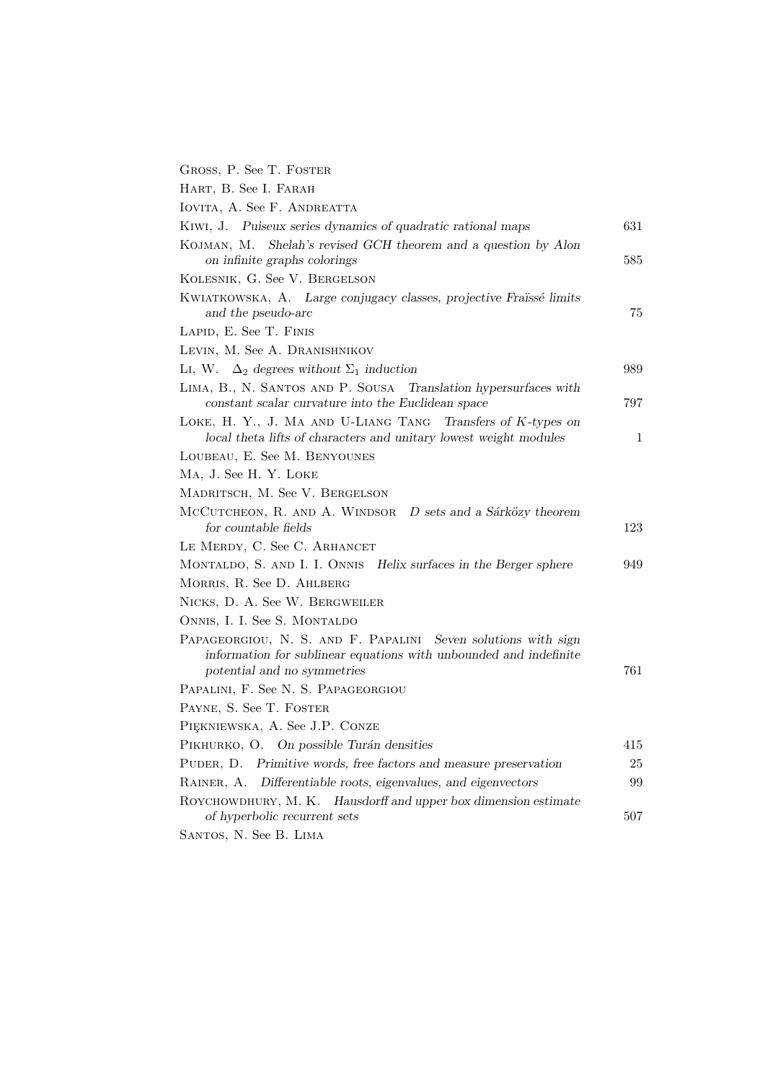| GROSS, P. See T. FOSTER                                                                                                                                           |     |
|-------------------------------------------------------------------------------------------------------------------------------------------------------------------|-----|
| HART, B. See I. FARAH                                                                                                                                             |     |
| IOVITA, A. See F. ANDREATTA                                                                                                                                       |     |
| KIWI, J. Puiseux series dynamics of quadratic rational maps                                                                                                       | 631 |
| KOJMAN, M. Shelah's revised GCH theorem and a question by Alon                                                                                                    |     |
| on infinite graphs colorings                                                                                                                                      | 585 |
| KOLESNIK, G. See V. BERGELSON                                                                                                                                     |     |
| KWIATKOWSKA, A. Large conjugacy classes, projective Fraïssé limits<br>and the pseudo-arc                                                                          | 75  |
| LAPID, E. See T. FINIS                                                                                                                                            |     |
| LEVIN, M. See A. DRANISHNIKOV                                                                                                                                     |     |
| LI, W. $\Delta_2$ degrees without $\Sigma_1$ induction                                                                                                            | 989 |
| LIMA, B., N. SANTOS AND P. SOUSA Translation hypersurfaces with<br>constant scalar curvature into the Euclidean space                                             | 797 |
| LOKE, H. Y., J. MA AND U-LIANG TANG Transfers of K-types on<br>local theta lifts of characters and unitary lowest weight modules                                  | 1   |
| LOUBEAU, E. See M. BENYOUNES                                                                                                                                      |     |
| MA, J. See H. Y. LOKE                                                                                                                                             |     |
| MADRITSCH, M. See V. BERGELSON                                                                                                                                    |     |
| MCCUTCHEON, R. AND A. WINDSOR D sets and a Sárközy theorem<br>for countable fields                                                                                | 123 |
| LE MERDY, C. See C. ARHANCET                                                                                                                                      |     |
| MONTALDO, S. AND I. I. ONNIS Helix surfaces in the Berger sphere                                                                                                  | 949 |
| MORRIS, R. See D. AHLBERG                                                                                                                                         |     |
| NICKS, D. A. See W. BERGWEILER                                                                                                                                    |     |
| ONNIS, I. I. See S. MONTALDO                                                                                                                                      |     |
| PAPAGEORGIOU, N. S. AND F. PAPALINI Seven solutions with sign<br>information for sublinear equations with unbounded and indefinite<br>potential and no symmetries | 761 |
| PAPALINI, F. See N. S. PAPAGEORGIOU                                                                                                                               |     |
| PAYNE, S. See T. FOSTER                                                                                                                                           |     |
| PIĘKNIEWSKA, A. See J.P. CONZE                                                                                                                                    |     |
| PIKHURKO, O. On possible Turán densities                                                                                                                          | 415 |
| PUDER, D.<br>Primitive words, free factors and measure preservation                                                                                               | 25  |
| RAINER, A.<br>Differentiable roots, eigenvalues, and eigenvectors                                                                                                 | 99  |
| ROYCHOWDHURY, M. K. Hausdorff and upper box dimension estimate                                                                                                    |     |
| of hyperbolic recurrent sets                                                                                                                                      | 507 |
| SANTOS, N. See B. LIMA                                                                                                                                            |     |
|                                                                                                                                                                   |     |